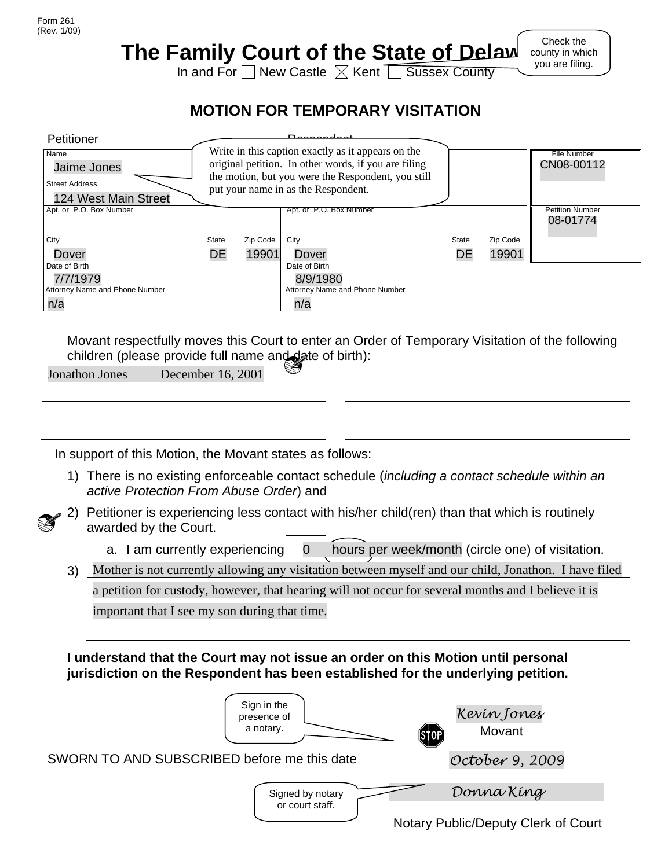## **The Family Court of the State of Delaw**

Check the county in which you are filing.

In and For  $\Box$  New Castle  $\boxtimes$  Kent  $\Box$  Sussex County

## **MOTION FOR TEMPORARY VISITATION**

| Petitioner                     |                                                    |                                                      | <b>D</b> - - - - - - - -                           |       |          |                        |
|--------------------------------|----------------------------------------------------|------------------------------------------------------|----------------------------------------------------|-------|----------|------------------------|
| Name                           | Write in this caption exactly as it appears on the |                                                      |                                                    |       |          | File Number            |
| Jaime Jones                    |                                                    | original petition. In other words, if you are filing | CN08-00112                                         |       |          |                        |
| <b>Street Address</b>          |                                                    |                                                      | the motion, but you were the Respondent, you still |       |          |                        |
| 124 West Main Street           |                                                    |                                                      | put your name in as the Respondent.                |       |          |                        |
| Apt. or P.O. Box Number        |                                                    |                                                      | Apt. or P.O. Box Number                            |       |          | <b>Petition Number</b> |
|                                |                                                    |                                                      |                                                    |       |          | 08-01774               |
|                                |                                                    |                                                      |                                                    |       |          |                        |
| City                           | State                                              | Zip Code                                             | City                                               | State | Zip Code |                        |
| Dover                          | DE                                                 | 19901                                                | Dover                                              | DE    | 19901    |                        |
| Date of Birth                  |                                                    |                                                      | Date of Birth                                      |       |          |                        |
| 7/7/1979                       |                                                    |                                                      | 8/9/1980                                           |       |          |                        |
| Attorney Name and Phone Number |                                                    |                                                      | Attorney Name and Phone Number                     |       |          |                        |
| n/a                            |                                                    |                                                      | n/a                                                |       |          |                        |

Movant respectfully moves this Court to enter an Order of Temporary Visitation of the following children (please provide full name and date of birth):

In support of this Motion, the Movant states as follows:

1) There is no existing enforceable contact schedule (*including a contact schedule within an active Protection From Abuse Order*) and



2) Petitioner is experiencing less contact with his/her child(ren) than that which is routinely awarded by the Court.

a. I am currently experiencing 0 hours per week/month (circle one) of visitation.

3) Mother is not currently allowing any visitation between myself and our child, Jonathon. I have filed

a petition for custody, however, that hearing will not occur for several months and I believe it is

important that I see my son during that time.

**I understand that the Court may not issue an order on this Motion until personal jurisdiction on the Respondent has been established for the underlying petition.**